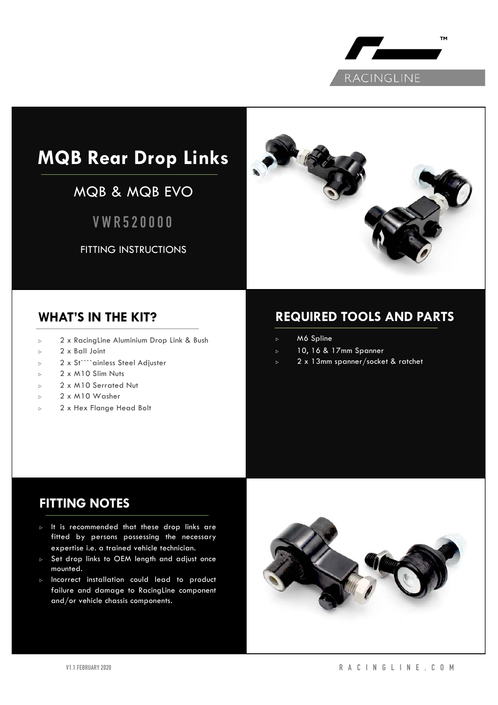

# **MQB Rear Drop Links**

## MQB & MQB EVO

**VWR520000**

FITTING INSTRUCTIONS



## **WHAT'S IN THE KIT?**

- <sup>▷</sup> 2 x RacingLine Aluminium Drop Link & Bush
- <sup>▷</sup> 2 x Ball Joint
- <sup>▷</sup> 2 x St````ainless Steel Adjuster
- <sup>▷</sup> 2 x M10 Slim Nuts
- <sup>▷</sup> 2 x M10 Serrated Nut
- <sup>▷</sup> 2 x M10 Washer
- <sup>▷</sup> 2 x Hex Flange Head Bolt

## **REQUIRED TOOLS AND PARTS**

- <sup>▷</sup> M6 Spline
- <sup>▷</sup> 10, 16 & 17mm Spanner
- <sup>▷</sup> 2 x 13mm spanner/socket & ratchet

## **FITTING NOTES**

- <sup>▷</sup> It is recommended that these drop links are fitted by persons possessing the necessary expertise i.e. a trained vehicle technician.
- <sup>▷</sup> Set drop links to OEM length and adjust once mounted.
- <sup>▷</sup> Incorrect installation could lead to product failure and damage to RacingLine component and/or vehicle chassis components.

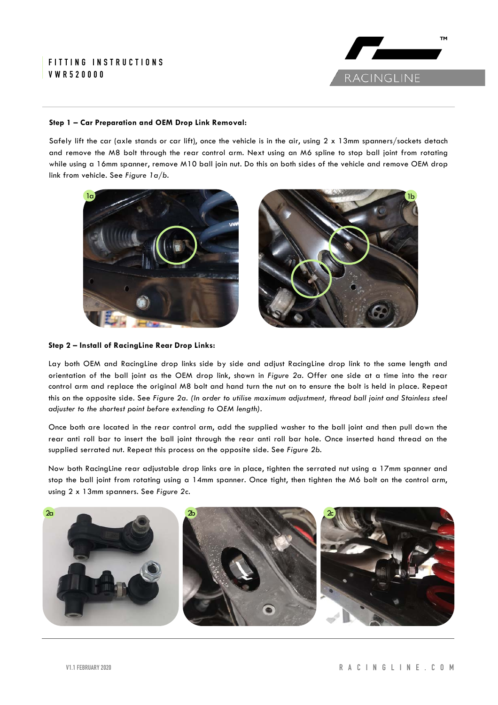#### **FITTING INSTRUCTIONS VWR520000**



#### **Step 1 – Car Preparation and OEM Drop Link Removal:**

Safely lift the car (axle stands or car lift), once the vehicle is in the air, using  $2 \times 13$ mm spanners/sockets detach and remove the M8 bolt through the rear control arm. Next using an M6 spline to stop ball joint from rotating while using a 16mm spanner, remove M10 ball join nut. Do this on both sides of the vehicle and remove OEM drop link from vehicle. See *Figure 1a/b.*



#### **Step 2 – Install of RacingLine Rear Drop Links:**

Lay both OEM and RacingLine drop links side by side and adjust RacingLine drop link to the same length and orientation of the ball joint as the OEM drop link, shown in *Figure 2a*. Offer one side at a time into the rear control arm and replace the original M8 bolt and hand turn the nut on to ensure the bolt is held in place. Repeat this on the opposite side. See *Figure 2a. (In order to utilise maximum adjustment, thread ball joint and Stainless steel adjuster to the shortest point before extending to OEM length).*

Once both are located in the rear control arm, add the supplied washer to the ball joint and then pull down the rear anti roll bar to insert the ball joint through the rear anti roll bar hole. Once inserted hand thread on the supplied serrated nut. Repeat this process on the opposite side. See *Figure 2b.*

Now both RacingLine rear adjustable drop links are in place, tighten the serrated nut using a 17mm spanner and stop the ball joint from rotating using a 14mm spanner. Once tight, then tighten the M6 bolt on the control arm, using 2 x 13mm spanners. See *Figure 2c.*